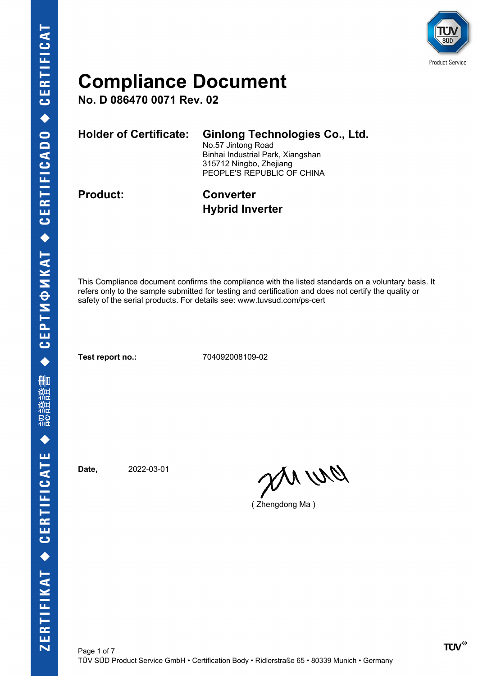

**No. D 086470 0071 Rev. 02**

| Holder of Certificate: | <b>Ginlong Technologies Co., Ltd.</b><br>No.57 Jintong Road<br>Binhai Industrial Park, Xiangshan<br>315712 Ningbo, Zhejiang<br>PEOPLE'S REPUBLIC OF CHINA |
|------------------------|-----------------------------------------------------------------------------------------------------------------------------------------------------------|
| <b>Product:</b>        | <b>Converter</b>                                                                                                                                          |

# **Hybrid Inverter**

This Compliance document confirms the compliance with the listed standards on a voluntary basis. It refers only to the sample submitted for testing and certification and does not certify the quality or safety of the serial products. For details see: www.tuvsud.com/ps-cert

**Test report no.:** 704092008109-02

**Date,** 2022-03-01

an wa

( Zhengdong Ma )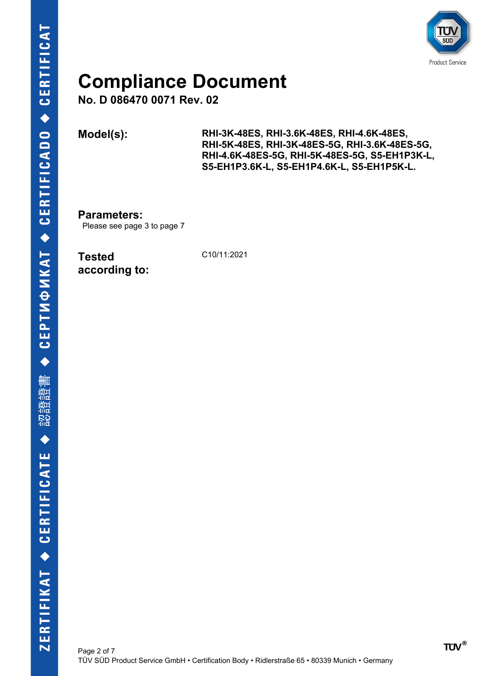

**No. D 086470 0071 Rev. 02**

**Model(s): RHI-3K-48ES, RHI-3.6K-48ES, RHI-4.6K-48ES, RHI-5K-48ES, RHI-3K-48ES-5G, RHI-3.6K-48ES-5G, RHI-4.6K-48ES-5G, RHI-5K-48ES-5G, S5-EH1P3K-L, S5-EH1P3.6K-L, S5-EH1P4.6K-L, S5-EH1P5K-L.**

**Parameters:** Please see page 3 to page 7

**Tested according to:** C10/11:2021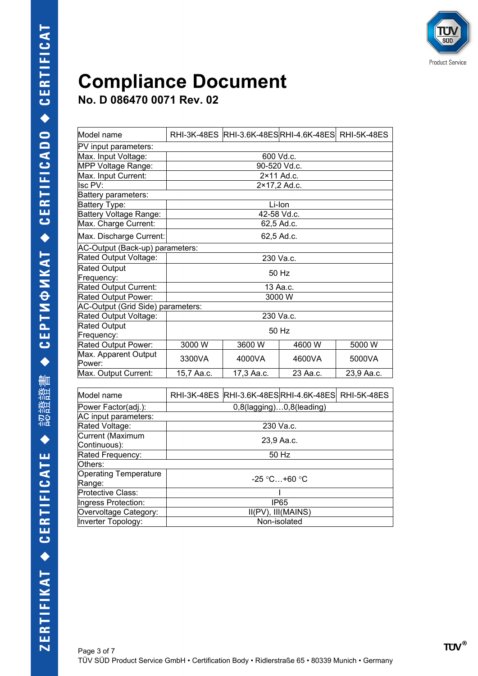

| Model name                        |                                 | RHI-3K-48ES RHI-3.6K-48ESRHI-4.6K-48ES RHI-5K-48ES |          |            |
|-----------------------------------|---------------------------------|----------------------------------------------------|----------|------------|
| PV input parameters:              |                                 |                                                    |          |            |
| Max. Input Voltage:               | 600 Vd.c.                       |                                                    |          |            |
| MPP Voltage Range:                |                                 | 90-520 Vd.c.                                       |          |            |
| Max. Input Current:               | $2 \times 11$ Ad.c.             |                                                    |          |            |
| lsc PV:                           | 2×17,2 Ad.c.                    |                                                    |          |            |
| Battery parameters:               |                                 |                                                    |          |            |
| Battery Type:                     | Li-Ion                          |                                                    |          |            |
| Battery Voltage Range:            |                                 | 42-58 Vd.c.                                        |          |            |
| Max. Charge Current:              |                                 | 62,5 Ad.c.                                         |          |            |
| Max. Discharge Current:           | 62,5 Ad.c.                      |                                                    |          |            |
| AC-Output (Back-up) parameters:   |                                 |                                                    |          |            |
| Rated Output Voltage:             |                                 | 230 Va.c.                                          |          |            |
| <b>Rated Output</b>               |                                 |                                                    |          |            |
| Frequency:                        | 50 Hz                           |                                                    |          |            |
| Rated Output Current:             | 13 Aa.c.                        |                                                    |          |            |
| Rated Output Power:               | 3000 W                          |                                                    |          |            |
| AC-Output (Grid Side) parameters: |                                 |                                                    |          |            |
| Rated Output Voltage:             | 230 Va.c.                       |                                                    |          |            |
| <b>Rated Output</b>               | 50 Hz                           |                                                    |          |            |
| Frequency:                        |                                 |                                                    |          |            |
| Rated Output Power:               | 3000 W                          | 3600 W                                             | 4600 W   | 5000 W     |
| Max. Apparent Output<br>Power:    | 3300VA                          | 4000VA                                             | 4600VA   | 5000VA     |
| Max. Output Current:              | 15,7 Aa.c.                      | 17,3 Aa.c.                                         | 23 Aa.c. | 23,9 Aa.c. |
|                                   |                                 |                                                    |          |            |
| Model name                        |                                 | RHI-3K-48ES RHI-3.6K-48ESRHI-4.6K-48ES RHI-5K-48ES |          |            |
| Power Factor(adj.):               | $0,8$ (lagging) $0,8$ (leading) |                                                    |          |            |

| iiviouei Hallie              | RNI-JN-40EJ_IRNI-J.UN-40EJIRNI-4.UN-40EJI_RNI-JN-40EJ |  |
|------------------------------|-------------------------------------------------------|--|
| Power Factor(adj.):          | $0,8$ (lagging) $0,8$ (leading)                       |  |
| AC input parameters:         |                                                       |  |
| Rated Voltage:               | 230 Va.c.                                             |  |
| Current (Maximum             |                                                       |  |
| Continuous):                 | 23,9 Aa.c.                                            |  |
| Rated Frequency:             | 50 Hz                                                 |  |
| Others:                      |                                                       |  |
| <b>Operating Temperature</b> | $-25$ °C $+60$ °C                                     |  |
| Range:                       |                                                       |  |
| Protective Class:            |                                                       |  |
| Ingress Protection:          | IP <sub>65</sub>                                      |  |
| Overvoltage Category:        | II(PV), III(MAINS)                                    |  |
| Inverter Topology:           | Non-isolated                                          |  |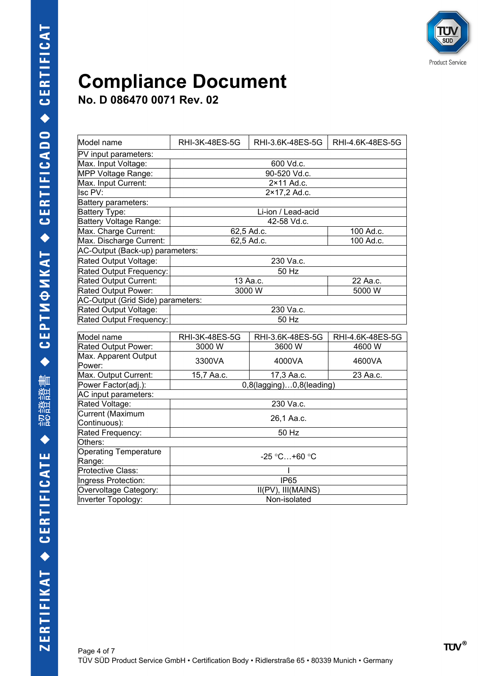

| Model name                         | RHI-3K-48ES-5G                     | RHI-3.6K-48ES-5G         | RHI-4.6K-48ES-5G |
|------------------------------------|------------------------------------|--------------------------|------------------|
| PV input parameters:               |                                    |                          |                  |
| Max. Input Voltage:                | 600 Vd.c.                          |                          |                  |
| MPP Voltage Range:                 |                                    | 90-520 Vd.c.             |                  |
| Max. Input Current:                |                                    | 2×11 Ad.c.               |                  |
| Isc PV:                            | 2×17,2 Ad.c.                       |                          |                  |
| Battery parameters:                |                                    |                          |                  |
| Battery Type:                      | Li-ion / Lead-acid                 |                          |                  |
| <b>Battery Voltage Range:</b>      |                                    | 42-58 Vd.c.              |                  |
| Max. Charge Current:               |                                    | 62,5 Ad.c.               | 100 Ad.c.        |
| Max. Discharge Current:            |                                    | 62,5 Ad.c.               | 100 Ad.c.        |
| AC-Output (Back-up) parameters:    |                                    |                          |                  |
| Rated Output Voltage:              |                                    | 230 Va.c.                |                  |
| Rated Output Frequency:            |                                    | 50 Hz                    |                  |
| Rated Output Current:              |                                    | 13 Aa.c.                 | 22 Aa.c.         |
| Rated Output Power:                | 3000W                              |                          | 5000 W           |
| AC-Output (Grid Side) parameters:  |                                    |                          |                  |
| Rated Output Voltage:              |                                    | 230 Va.c.                |                  |
| Rated Output Frequency:            | 50 Hz                              |                          |                  |
|                                    |                                    |                          |                  |
| Model name                         | <b>RHI-3K-48ES-5G</b>              | RHI-3.6K-48ES-5G         | RHI-4.6K-48ES-5G |
| Rated Output Power:                | 3000 W                             | 3600 W                   | 4600 W           |
| Max. Apparent Output               | 3300VA                             | 4000VA                   | 4600VA           |
| Power:                             |                                    |                          |                  |
| Max. Output Current:               | 15,7 Aa.c.                         | 17,3 Aa.c.               | 23 Aa.c.         |
| Power Factor(adj.):                |                                    | 0,8(lagging)0,8(leading) |                  |
| AC input parameters:               |                                    |                          |                  |
| Rated Voltage:<br>Current (Maximum | 230 Va.c.                          |                          |                  |
| Continuous):                       | 26,1 Aa.c.                         |                          |                  |
| Rated Frequency:                   | 50 Hz                              |                          |                  |
| Others:                            |                                    |                          |                  |
| <b>Operating Temperature</b>       |                                    |                          |                  |
| Range:                             | $-25 °C+60 °C$                     |                          |                  |
| Protective Class:                  |                                    |                          |                  |
| Ingress Protection:                | <b>IP65</b>                        |                          |                  |
| Overvoltage Category:              | $\overline{II(PV)}$ , $III(MAINS)$ |                          |                  |
| Inverter Topology:                 | Non-isolated                       |                          |                  |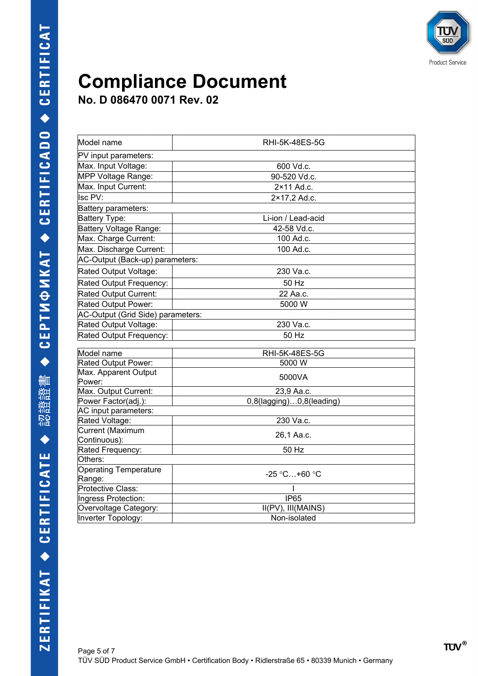

| Model name                                  | <b>RHI-5K-48ES-5G</b>    |  |
|---------------------------------------------|--------------------------|--|
| PV input parameters:                        |                          |  |
| Max. Input Voltage:                         | 600 Vd.c.                |  |
| MPP Voltage Range:                          | 90-520 Vd.c.             |  |
| Max. Input Current:                         | 2×11 Ad.c.               |  |
| Isc PV:                                     | 2×17,2 Ad.c.             |  |
| Battery parameters:                         |                          |  |
| <b>Battery Type:</b>                        | Li-ion / Lead-acid       |  |
| Battery Voltage Range:                      | 42-58 Vd.c.              |  |
| Max. Charge Current:                        | 100 Ad.c.                |  |
| Max. Discharge Current:                     | 100 Ad.c.                |  |
| AC-Output (Back-up) parameters:             |                          |  |
| Rated Output Voltage:                       | 230 Va.c.                |  |
| Rated Output Frequency:                     | 50 Hz                    |  |
| Rated Output Current:                       | 22 Aa.c.                 |  |
| Rated Output Power:                         | 5000 W                   |  |
| AC-Output (Grid Side) parameters:           |                          |  |
| Rated Output Voltage:                       | 230 Va.c.                |  |
| Rated Output Frequency:                     | 50 Hz                    |  |
|                                             |                          |  |
| Model name                                  | RHI-5K-48ES-5G<br>5000 W |  |
| Rated Output Power:<br>Max. Apparent Output |                          |  |
| Power:                                      | 5000VA                   |  |
| Max. Output Current:                        | 23,9 Aa.c.               |  |
| Power Factor(adj.):                         | 0,8(lagging)0,8(leading) |  |
| AC input parameters:                        |                          |  |
| Rated Voltage:                              | 230 Va.c.                |  |
| Current (Maximum                            |                          |  |
| Continuous):                                | 26,1 Aa.c.               |  |
| Rated Frequency:                            | 50 Hz                    |  |
| Others:                                     |                          |  |
| <b>Operating Temperature</b>                | $-25 °C+60 °C$           |  |
| Range:                                      |                          |  |
| Protective Class:                           |                          |  |
| Ingress Protection:                         | <b>IP65</b>              |  |
| Overvoltage Category:                       | II(PV), III(MAINS)       |  |
| Inverter Topology:                          | Non-isolated             |  |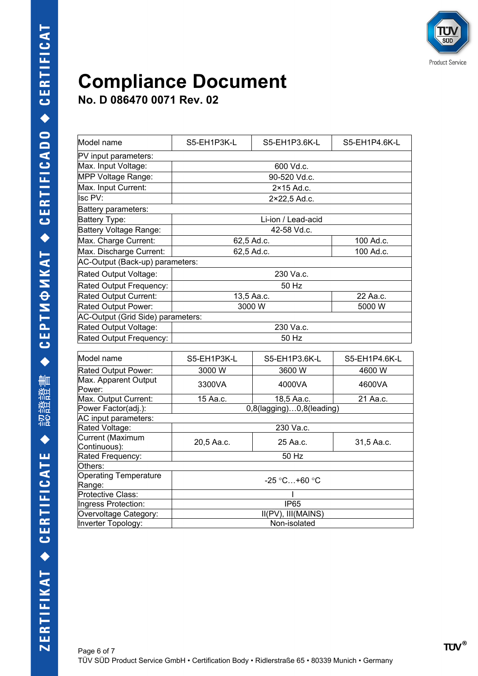

| Model name                        | S5-EH1P3K-L                     | S5-EH1P3.6K-L | S5-EH1P4.6K-L |  |
|-----------------------------------|---------------------------------|---------------|---------------|--|
| PV input parameters:              |                                 |               |               |  |
| Max. Input Voltage:               | 600 Vd.c.                       |               |               |  |
| MPP Voltage Range:                | 90-520 Vd.c.                    |               |               |  |
| Max. Input Current:               | 2×15 Ad.c.                      |               |               |  |
| Isc PV:                           | 2×22,5 Ad.c.                    |               |               |  |
| Battery parameters:               |                                 |               |               |  |
| Battery Type:                     | Li-ion / Lead-acid              |               |               |  |
| Battery Voltage Range:            |                                 | 42-58 Vd.c.   |               |  |
| Max. Charge Current:              | 62,5 Ad.c.                      |               | 100 Ad.c.     |  |
| Max. Discharge Current:           | 62,5 Ad.c.                      |               | 100 Ad.c.     |  |
| AC-Output (Back-up) parameters:   |                                 |               |               |  |
| Rated Output Voltage:             | 230 Va.c.                       |               |               |  |
| Rated Output Frequency:           | 50 Hz                           |               |               |  |
| Rated Output Current:             | 13,5 Aa.c.                      |               | 22 Aa.c.      |  |
| Rated Output Power:               | 3000 W                          |               | 5000 W        |  |
| AC-Output (Grid Side) parameters: |                                 |               |               |  |
| Rated Output Voltage:             | 230 Va.c.                       |               |               |  |
| Rated Output Frequency:           | 50 Hz                           |               |               |  |
| Model name                        | S5-EH1P3K-L                     | S5-EH1P3.6K-L | S5-EH1P4.6K-L |  |
|                                   |                                 |               |               |  |
| Rated Output Power:               | 3000 W                          | 3600 W        | 4600 W        |  |
| Max. Apparent Output<br>Power:    | 3300VA                          | 4000VA        | 4600VA        |  |
| Max. Output Current:              | 15 Aa.c.                        | 18,5 Aa.c.    | 21 Aa.c.      |  |
| Power Factor(adj.):               | $0,8$ (lagging) $0,8$ (leading) |               |               |  |
| AC input parameters:              |                                 |               |               |  |
| Rated Voltage:                    |                                 | 230 Va.c.     |               |  |
| Current (Maximum                  | 20,5 Aa.c.                      | 25 Aa.c.      | 31,5 Aa.c.    |  |
| Continuous):                      |                                 |               |               |  |
| Rated Frequency:<br>Others:       | 50 Hz                           |               |               |  |
| <b>Operating Temperature</b>      |                                 |               |               |  |
| Range:                            | $-25 °C+60 °C$                  |               |               |  |
| Protective Class:                 |                                 |               |               |  |
| Ingress Protection:               |                                 | <b>IP65</b>   |               |  |
| Overvoltage Category:             | II(PV), III(MAINS)              |               |               |  |
| <b>Inverter Topology:</b>         | Non-isolated                    |               |               |  |